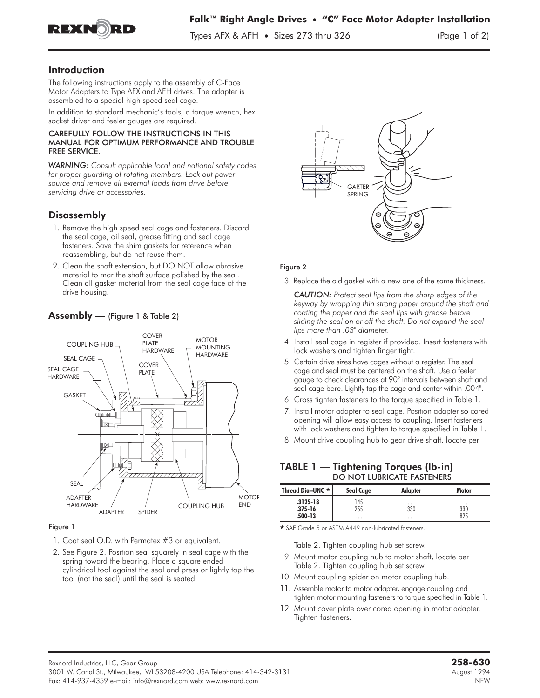

Types AFX & AFH **•** Sizes 273 thru 326 (Page 1 of 2)

### Introduction

The following instructions apply to the assembly of C-Face Motor Adapters to Type AFX and AFH drives. The adapter is assembled to a special high speed seal cage.

In addition to standard mechanic's tools, a torque wrench, hex socket driver and feeler gauges are required.

# CAREFULLY FOLLOW THE INSTRUCTIONS IN THIS FREE SERVICE.

FREE SERVICE. *WARNING: Consult applicable local and national safety codes for proper guarding of rotating members. Lock out power source and remove all external loads from drive before servicing drive or accessories.*

## **Disassembly**

- 1. Remove the high speed seal cage and fasteners. Discard the seal cage, oil seal, grease fitting and seal cage fasteners. Save the shim gaskets for reference when reassembling, but do not reuse them.
- 2. Clean the shaft extension, but DO NOT allow abrasive material to mar the shaft surface polished by the seal. Clean all gasket material from the seal cage face of the drive housing.

## **Assembly** — (Figure 1 & Table 2)



#### Figure 1

- 1. Coat seal O.D. with Permatex #3 or equivalent.
- 2. See Figure 2. Position seal squarely in seal cage with the spring toward the bearing. Place a square ended cylindrical tool against the seal and press or lightly tap the tool (not the seal) until the seal is seated.



#### Figure 2

3. Replace the old gasket with a new one of the same thickness.

*CAUTION: Protect seal lips from the sharp edges of the keyway by wrapping thin strong paper around the shaft and coating the paper and the seal lips with grease before sliding the seal on or off the shaft. Do not expand the seal lips more than .03" diameter.*

- 4. Install seal cage in register if provided. Insert fasteners with lock washers and tighten finger tight.
- 5. Certain drive sizes have cages without a register. The seal cage and seal must be centered on the shaft. Use a feeler gauge to check clearances at 90° intervals between shaft and seal cage bore. Lightly tap the cage and center within .004".
- 6. Cross tighten fasteners to the torque specified in Table 1.
- 7. Install motor adapter to seal cage. Position adapter so cored opening will allow easy access to coupling. Insert fasteners with lock washers and tighten to torque specified in Table 1.
- 8. Mount drive coupling hub to gear drive shaft, locate per

### TABLE 1 — Tightening Torques (lb-in) **DO NOT LUBRICATE FASTENERS**

| Thread Dia-UNC $\star$ | <b>Seal Cage</b>        | Adapter                 | <b>Motor</b>            |
|------------------------|-------------------------|-------------------------|-------------------------|
| $.3125 - 18$           | 145                     | $\cdot$ $\cdot$ $\cdot$ | $\cdot$ $\cdot$ $\cdot$ |
| $.375 - 16$            | 255                     | 330                     | 330                     |
| $.500-13$              | $\cdot$ $\cdot$ $\cdot$ | $\cdot$ $\cdot$ $\cdot$ | 875                     |

- SAE Grade 5 or ASTM A449 non-lubricated fasteners.

Table 2. Tighten coupling hub set screw.

- 9. Mount motor coupling hub to motor shaft, locate per Table 2. Tighten coupling hub set screw.
- 10. Mount coupling spider on motor coupling hub.
- 11. Assemble motor to motor adapter, engage coupling and tighten motor mounting fasteners to torque specified in Table 1.
- 12. Mount cover plate over cored opening in motor adapter. Tighten fasteners.